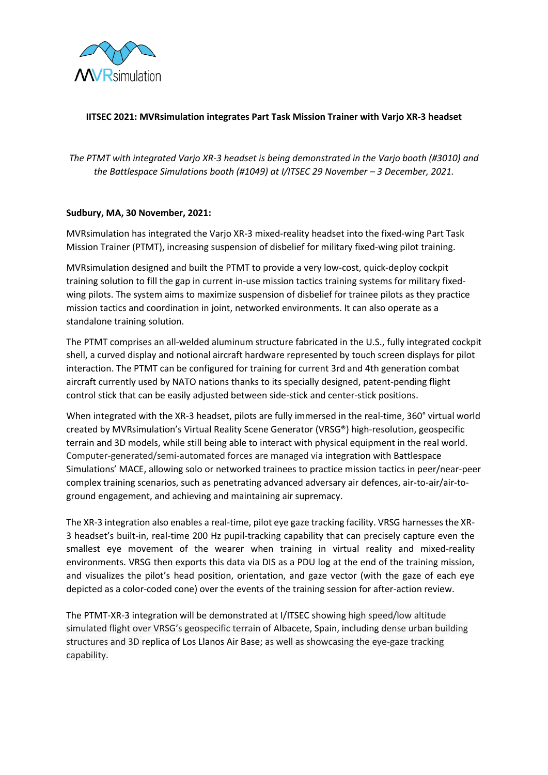

# **IITSEC 2021: MVRsimulation integrates Part Task Mission Trainer with Varjo XR-3 headset**

*The PTMT with integrated Varjo XR-3 headset is being demonstrated in the Varjo booth (#3010) and the Battlespace Simulations booth (#1049) at I/ITSEC 29 November - 3 December, 2021.* 

### **Sudbury, MA, 30 November, 2021:**

MVRsimulation has integrated the Varjo XR-3 mixed-reality headset into the fixed-wing Part Task Mission Trainer (PTMT), increasing suspension of disbelief for military fixed-wing pilot training.

MVRsimulation designed and built the PTMT to provide a very low-cost, quick-deploy cockpit training solution to fill the gap in current in-use mission tactics training systems for military fixedwing pilots. The system aims to maximize suspension of disbelief for trainee pilots as they practice mission tactics and coordination in joint, networked environments. It can also operate as a standalone training solution.

The PTMT comprises an all-welded aluminum structure fabricated in the U.S., fully integrated cockpit shell, a curved display and notional aircraft hardware represented by touch screen displays for pilot interaction. The PTMT can be configured for training for current 3rd and 4th generation combat aircraft currently used by NATO nations thanks to its specially designed, patent-pending flight control stick that can be easily adjusted between side-stick and center-stick positions.

When integrated with the XR-3 headset, pilots are fully immersed in the real-time, 360° virtual world created by MVRsimulation's Virtual Reality Scene Generator (VRSG®) high-resolution, geospecific terrain and 3D models, while still being able to interact with physical equipment in the real world. Computer-generated/semi-automated forces are managed via integration with Battlespace Simulations' MACE, allowing solo or networked trainees to practice mission tactics in peer/near-peer complex training scenarios, such as penetrating advanced adversary air defences, air-to-air/air-toground engagement, and achieving and maintaining air supremacy.

The XR-3 integration also enables a real-time, pilot eye gaze tracking facility. VRSG harnesses the XR-3 headset's built-in, real-time 200 Hz pupil-tracking capability that can precisely capture even the smallest eye movement of the wearer when training in virtual reality and mixed-reality environments. VRSG then exports this data via DIS as a PDU log at the end of the training mission, and visualizes the pilot's head position, orientation, and gaze vector (with the gaze of each eye depicted as a color-coded cone) over the events of the training session for after-action review.

The PTMT-XR-3 integration will be demonstrated at I/ITSEC showing high speed/low altitude simulated flight over VRSG's geospecific terrain of Albacete, Spain, including dense urban building structures and 3D replica of Los Llanos Air Base; as well as showcasing the eye-gaze tracking capability.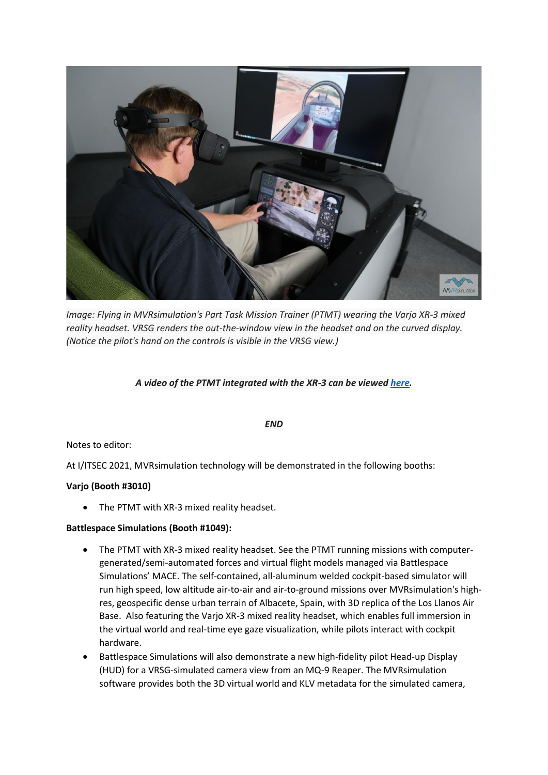

*Image: Flying in MVRsimulation's Part Task Mission Trainer (PTMT) wearing the Varjo XR-3 mixed reality headset. VRSG renders the out-the-window view in the headset and on the curved display. (Notice the pilot's hand on the controls is visible in the VRSG view.)*

### *A video of the PTMT integrated with the XR-3 can be viewe[d here.](https://www.mvrsimulation.com/sites/default/files/m-video/2021/MVR_Showcase_1080.mp4)*

#### *END*

#### Notes to editor:

At I/ITSEC 2021, MVRsimulation technology will be demonstrated in the following booths:

#### **Varjo (Booth #3010)**

• The PTMT with XR-3 mixed reality headset.

#### **Battlespace Simulations (Booth #1049):**

- The PTMT with XR-3 mixed reality headset. See the PTMT running missions with computergenerated/semi-automated forces and virtual flight models managed via Battlespace Simulations' MACE. The self-contained, all-aluminum welded cockpit-based simulator will run high speed, low altitude air-to-air and air-to-ground missions over MVRsimulation's highres, geospecific dense urban terrain of Albacete, Spain, with 3D replica of the Los Llanos Air Base. Also featuring the Varjo XR-3 mixed reality headset, which enables full immersion in the virtual world and real-time eye gaze visualization, while pilots interact with cockpit hardware.
- Battlespace Simulations will also demonstrate a new high-fidelity pilot Head-up Display (HUD) for a VRSG-simulated camera view from an MQ-9 Reaper. The MVRsimulation software provides both the 3D virtual world and KLV metadata for the simulated camera,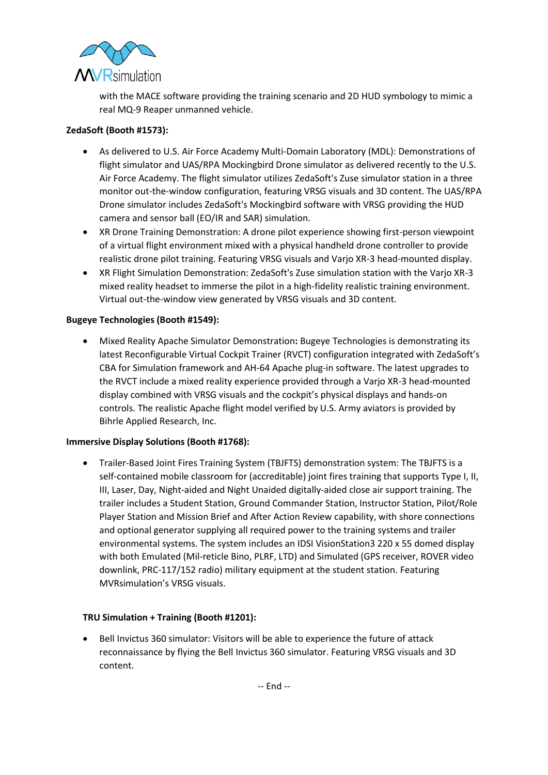

with the MACE software providing the training scenario and 2D HUD symbology to mimic a real MQ-9 Reaper unmanned vehicle.

# **ZedaSoft (Booth #1573):**

- As delivered to U.S. Air Force Academy Multi-Domain Laboratory (MDL): Demonstrations of flight simulator and UAS/RPA Mockingbird Drone simulator as delivered recently to the U.S. Air Force Academy. The flight simulator utilizes ZedaSoft's Zuse simulator station in a three monitor out-the-window configuration, featuring VRSG visuals and 3D content. The UAS/RPA Drone simulator includes ZedaSoft's Mockingbird software with VRSG providing the HUD camera and sensor ball (EO/IR and SAR) simulation.
- XR Drone Training Demonstration: A drone pilot experience showing first-person viewpoint of a virtual flight environment mixed with a physical handheld drone controller to provide realistic drone pilot training. Featuring VRSG visuals and Varjo XR-3 head-mounted display.
- XR Flight Simulation Demonstration: ZedaSoft's Zuse simulation station with the Varjo XR-3 mixed reality headset to immerse the pilot in a high-fidelity realistic training environment. Virtual out-the-window view generated by VRSG visuals and 3D content.

# **Bugeye Technologies (Booth #1549):**

• Mixed Reality Apache Simulator Demonstration**:** Bugeye Technologies is demonstrating its latest Reconfigurable Virtual Cockpit Trainer (RVCT) configuration integrated with ZedaSoft's CBA for Simulation framework and AH-64 Apache plug-in software. The latest upgrades to the RVCT include a mixed reality experience provided through a Varjo XR-3 head-mounted display combined with VRSG visuals and the cockpit's physical displays and hands-on controls. The realistic Apache flight model verified by U.S. Army aviators is provided by Bihrle Applied Research, Inc.

# **Immersive Display Solutions (Booth #1768):**

• Trailer-Based Joint Fires Training System (TBJFTS) demonstration system: The TBJFTS is a self-contained mobile classroom for (accreditable) joint fires training that supports Type I, II, III, Laser, Day, Night-aided and Night Unaided digitally-aided close air support training. The trailer includes a Student Station, Ground Commander Station, Instructor Station, Pilot/Role Player Station and Mission Brief and After Action Review capability, with shore connections and optional generator supplying all required power to the training systems and trailer environmental systems. The system includes an IDSI VisionStation3 220 x 55 domed display with both Emulated (Mil-reticle Bino, PLRF, LTD) and Simulated (GPS receiver, ROVER video downlink, PRC-117/152 radio) military equipment at the student station. Featuring MVRsimulation's VRSG visuals.

# **TRU Simulation + Training (Booth #1201):**

• Bell Invictus 360 simulator: Visitors will be able to experience the future of attack reconnaissance by flying the Bell Invictus 360 simulator. Featuring VRSG visuals and 3D content.